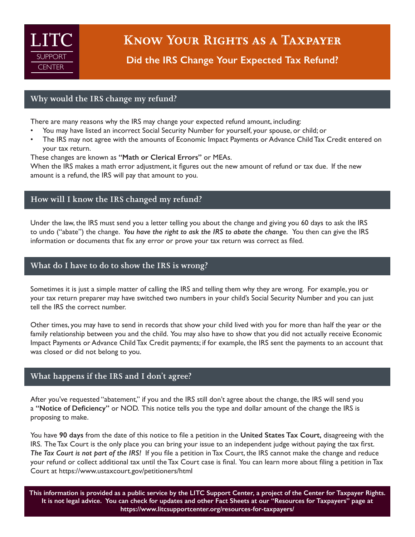

# Know Your Rights as a Taxpayer

**Did the IRS Change Your Expected Tax Refund?**

# Why would the IRS change my refund?

There are many reasons why the IRS may change your expected refund amount, including:

- You may have listed an incorrect Social Security Number for yourself, your spouse, or child; or
- The IRS may not agree with the amounts of Economic Impact Payments or Advance Child Tax Credit entered on your tax return.

These changes are known as **"Math or Clerical Errors"** or MEAs.

When the IRS makes a math error adjustment, it figures out the new amount of refund or tax due. If the new amount is a refund, the IRS will pay that amount to you.

## How will I know the IRS changed my refund?

Under the law, the IRS must send you a letter telling you about the change and giving you 60 days to ask the IRS to undo ("abate") the change. *You have the right to ask the IRS to abate the change.* You then can give the IRS information or documents that fix any error or prove your tax return was correct as filed.

#### What do I have to do to show the IRS is wrong?

Sometimes it is just a simple matter of calling the IRS and telling them why they are wrong. For example, you or your tax return preparer may have switched two numbers in your child's Social Security Number and you can just tell the IRS the correct number.

Other times, you may have to send in records that show your child lived with you for more than half the year or the family relationship between you and the child. You may also have to show that you did not actually receive Economic Impact Payments or Advance Child Tax Credit payments; if for example, the IRS sent the payments to an account that was closed or did not belong to you.

## What happens if the IRS and I don't agree?

After you've requested "abatement," if you and the IRS still don't agree about the change, the IRS will send you a **"Notice of Deficiency"** or NOD. This notice tells you the type and dollar amount of the change the IRS is proposing to make.

You have **90 days** from the date of this notice to file a petition in the **United States Tax Court,** disagreeing with the IRS. The Tax Court is the only place you can bring your issue to an independent judge without paying the tax first. *The Tax Court is not part of the IRS!* If you file a petition in Tax Court, the IRS cannot make the change and reduce your refund or collect additional tax until the Tax Court case is final. You can learn more about filing a petition in Tax Court at<https://www.ustaxcourt.gov/petitioners/html>

**This information is provided as a public service by the [LITC Support Center](https://litcsupportcenter.org), a project of the [Center for Taxpayer Rights.](https://www.taxpayer-rights.org) It is not legal advice. You can check for updates and other Fact Sheets at our "Resources for Taxpayers" page at [https://www.litcsupportcenter.org/resources-for-taxpayers/](http://www.litcsupportcenter.org/resources-for-taxpayers/)**